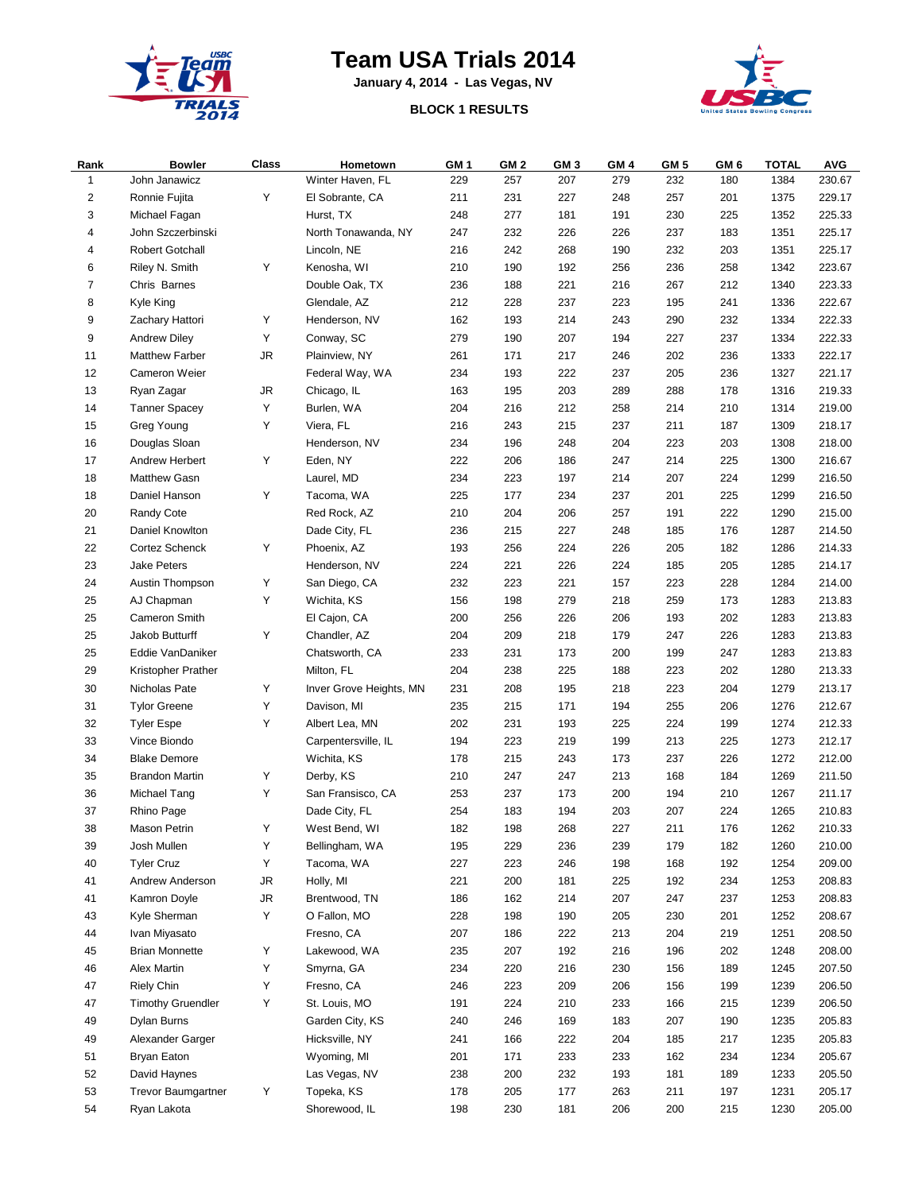

## **Team USA Trials 2014**

**January 4, 2014 - Las Vegas, NV**



## **BLOCK 1 RESULTS**

| Rank                    | <b>Bowler</b>            | Class | Hometown                | GM <sub>1</sub> | GM <sub>2</sub> | GM <sub>3</sub> | GM <sub>4</sub> | GM 5 | GM 6 | <b>TOTAL</b> | <b>AVG</b> |
|-------------------------|--------------------------|-------|-------------------------|-----------------|-----------------|-----------------|-----------------|------|------|--------------|------------|
| $\mathbf{1}$            | John Janawicz            |       | Winter Haven, FL        | 229             | 257             | 207             | 279             | 232  | 180  | 1384         | 230.67     |
| $\overline{\mathbf{c}}$ | Ronnie Fujita            | Υ     | El Sobrante, CA         | 211             | 231             | 227             | 248             | 257  | 201  | 1375         | 229.17     |
| 3                       | Michael Fagan            |       | Hurst, TX               | 248             | 277             | 181             | 191             | 230  | 225  | 1352         | 225.33     |
| 4                       | John Szczerbinski        |       | North Tonawanda, NY     | 247             | 232             | 226             | 226             | 237  | 183  | 1351         | 225.17     |
| 4                       | <b>Robert Gotchall</b>   |       | Lincoln, NE             | 216             | 242             | 268             | 190             | 232  | 203  | 1351         | 225.17     |
| 6                       | Riley N. Smith           | Υ     | Kenosha, WI             | 210             | 190             | 192             | 256             | 236  | 258  | 1342         | 223.67     |
| $\overline{7}$          | Chris Barnes             |       | Double Oak, TX          | 236             | 188             | 221             | 216             | 267  | 212  | 1340         | 223.33     |
| 8                       | Kyle King                |       | Glendale, AZ            | 212             | 228             | 237             | 223             | 195  | 241  | 1336         | 222.67     |
| 9                       | Zachary Hattori          | Υ     | Henderson, NV           | 162             | 193             | 214             | 243             | 290  | 232  | 1334         | 222.33     |
| 9                       | <b>Andrew Diley</b>      | Υ     | Conway, SC              | 279             | 190             | 207             | 194             | 227  | 237  | 1334         | 222.33     |
| 11                      | <b>Matthew Farber</b>    | JR.   | Plainview, NY           | 261             | 171             | 217             | 246             | 202  | 236  | 1333         | 222.17     |
| 12                      | Cameron Weier            |       | Federal Way, WA         | 234             | 193             | 222             | 237             | 205  | 236  | 1327         | 221.17     |
| 13                      | Ryan Zagar               | JR    | Chicago, IL             | 163             | 195             | 203             | 289             | 288  | 178  | 1316         | 219.33     |
| 14                      | <b>Tanner Spacey</b>     | Υ     | Burlen, WA              | 204             | 216             | 212             | 258             | 214  | 210  | 1314         | 219.00     |
| 15                      | Greg Young               | Υ     | Viera, FL               | 216             | 243             | 215             | 237             | 211  | 187  | 1309         | 218.17     |
| 16                      | Douglas Sloan            |       | Henderson, NV           | 234             | 196             | 248             | 204             | 223  | 203  | 1308         | 218.00     |
| 17                      | Andrew Herbert           | Υ     | Eden, NY                | 222             | 206             | 186             | 247             | 214  | 225  | 1300         | 216.67     |
| 18                      | <b>Matthew Gasn</b>      |       | Laurel, MD              | 234             | 223             | 197             | 214             | 207  | 224  | 1299         | 216.50     |
| 18                      | Daniel Hanson            | Υ     | Tacoma, WA              | 225             | 177             | 234             | 237             | 201  | 225  | 1299         | 216.50     |
| 20                      | Randy Cote               |       | Red Rock, AZ            | 210             | 204             | 206             | 257             | 191  | 222  | 1290         | 215.00     |
| 21                      | Daniel Knowlton          |       | Dade City, FL           | 236             | 215             | 227             | 248             | 185  | 176  | 1287         | 214.50     |
| 22                      | Cortez Schenck           | Υ     | Phoenix, AZ             | 193             | 256             | 224             | 226             | 205  | 182  | 1286         | 214.33     |
| 23                      | Jake Peters              |       | Henderson, NV           | 224             | 221             | 226             | 224             | 185  | 205  | 1285         | 214.17     |
| 24                      | Austin Thompson          | Υ     | San Diego, CA           | 232             | 223             | 221             | 157             | 223  | 228  | 1284         | 214.00     |
| 25                      | AJ Chapman               | Υ     | Wichita, KS             | 156             | 198             | 279             | 218             | 259  | 173  | 1283         | 213.83     |
| 25                      | Cameron Smith            |       | El Cajon, CA            | 200             | 256             | 226             | 206             | 193  | 202  | 1283         | 213.83     |
| 25                      | Jakob Butturff           | Υ     | Chandler, AZ            | 204             | 209             | 218             | 179             | 247  | 226  | 1283         | 213.83     |
| 25                      | Eddie VanDaniker         |       | Chatsworth, CA          | 233             | 231             | 173             | 200             | 199  | 247  | 1283         | 213.83     |
| 29                      | Kristopher Prather       |       | Milton, FL              | 204             | 238             | 225             | 188             | 223  | 202  | 1280         | 213.33     |
| 30                      | Nicholas Pate            | Υ     | Inver Grove Heights, MN | 231             | 208             | 195             | 218             | 223  | 204  | 1279         | 213.17     |
| 31                      | <b>Tylor Greene</b>      | Υ     | Davison, MI             | 235             | 215             | 171             | 194             | 255  | 206  | 1276         | 212.67     |
| 32                      | <b>Tyler Espe</b>        | Υ     | Albert Lea, MN          | 202             | 231             | 193             | 225             | 224  | 199  | 1274         | 212.33     |
| 33                      | Vince Biondo             |       | Carpentersville, IL     | 194             | 223             | 219             | 199             | 213  | 225  | 1273         | 212.17     |
| 34                      | <b>Blake Demore</b>      |       | Wichita, KS             | 178             | 215             | 243             | 173             | 237  | 226  | 1272         | 212.00     |
| 35                      | <b>Brandon Martin</b>    | Υ     | Derby, KS               | 210             | 247             | 247             | 213             | 168  | 184  | 1269         | 211.50     |
| 36                      | Michael Tang             | Υ     | San Fransisco, CA       | 253             | 237             | 173             | 200             | 194  | 210  | 1267         | 211.17     |
| 37                      | Rhino Page               |       | Dade City, FL           | 254             | 183             | 194             | 203             | 207  | 224  | 1265         | 210.83     |
| 38                      | Mason Petrin             | Y     | West Bend, WI           | 182             | 198             | 268             | 227             | 211  | 176  | 1262         | 210.33     |
| 39                      | Josh Mullen              | Υ     | Bellingham, WA          | 195             | 229             | 236             | 239             | 179  | 182  | 1260         | 210.00     |
| 40                      | <b>Tyler Cruz</b>        | Υ     | Tacoma, WA              | 227             | 223             | 246             | 198             | 168  | 192  | 1254         | 209.00     |
| 41                      | Andrew Anderson          | JR    | Holly, MI               | 221             | 200             | 181             | 225             | 192  | 234  | 1253         | 208.83     |
| 41                      | Kamron Doyle             | JR    | Brentwood, TN           | 186             | 162             | 214             | 207             | 247  | 237  | 1253         | 208.83     |
| 43                      | Kyle Sherman             | Υ     | O Fallon, MO            | 228             | 198             | 190             | 205             | 230  | 201  | 1252         | 208.67     |
| 44                      | Ivan Miyasato            |       | Fresno, CA              | 207             | 186             | 222             | 213             | 204  | 219  | 1251         | 208.50     |
| 45                      | <b>Brian Monnette</b>    | Υ     | Lakewood, WA            | 235             | 207             | 192             | 216             | 196  | 202  | 1248         | 208.00     |
| 46                      | Alex Martin              | Υ     | Smyrna, GA              | 234             | 220             | 216             | 230             | 156  | 189  | 1245         | 207.50     |
| 47                      | <b>Riely Chin</b>        | Y     | Fresno, CA              | 246             | 223             | 209             | 206             | 156  | 199  | 1239         | 206.50     |
| 47                      | <b>Timothy Gruendler</b> | Υ     | St. Louis, MO           | 191             | 224             | 210             | 233             | 166  | 215  | 1239         | 206.50     |
| 49                      | Dylan Burns              |       | Garden City, KS         | 240             | 246             | 169             | 183             | 207  | 190  | 1235         | 205.83     |
| 49                      | Alexander Garger         |       | Hicksville, NY          | 241             | 166             | 222             | 204             | 185  | 217  | 1235         | 205.83     |
| 51                      | Bryan Eaton              |       | Wyoming, MI             | 201             | 171             | 233             | 233             | 162  | 234  | 1234         | 205.67     |
| 52                      | David Haynes             |       | Las Vegas, NV           | 238             | 200             | 232             | 193             | 181  | 189  | 1233         | 205.50     |
| 53                      | Trevor Baumgartner       | Υ     | Topeka, KS              | 178             | 205             | 177             | 263             | 211  | 197  | 1231         | 205.17     |
| 54                      | Ryan Lakota              |       | Shorewood, IL           | 198             | 230             | 181             | 206             | 200  | 215  | 1230         | 205.00     |
|                         |                          |       |                         |                 |                 |                 |                 |      |      |              |            |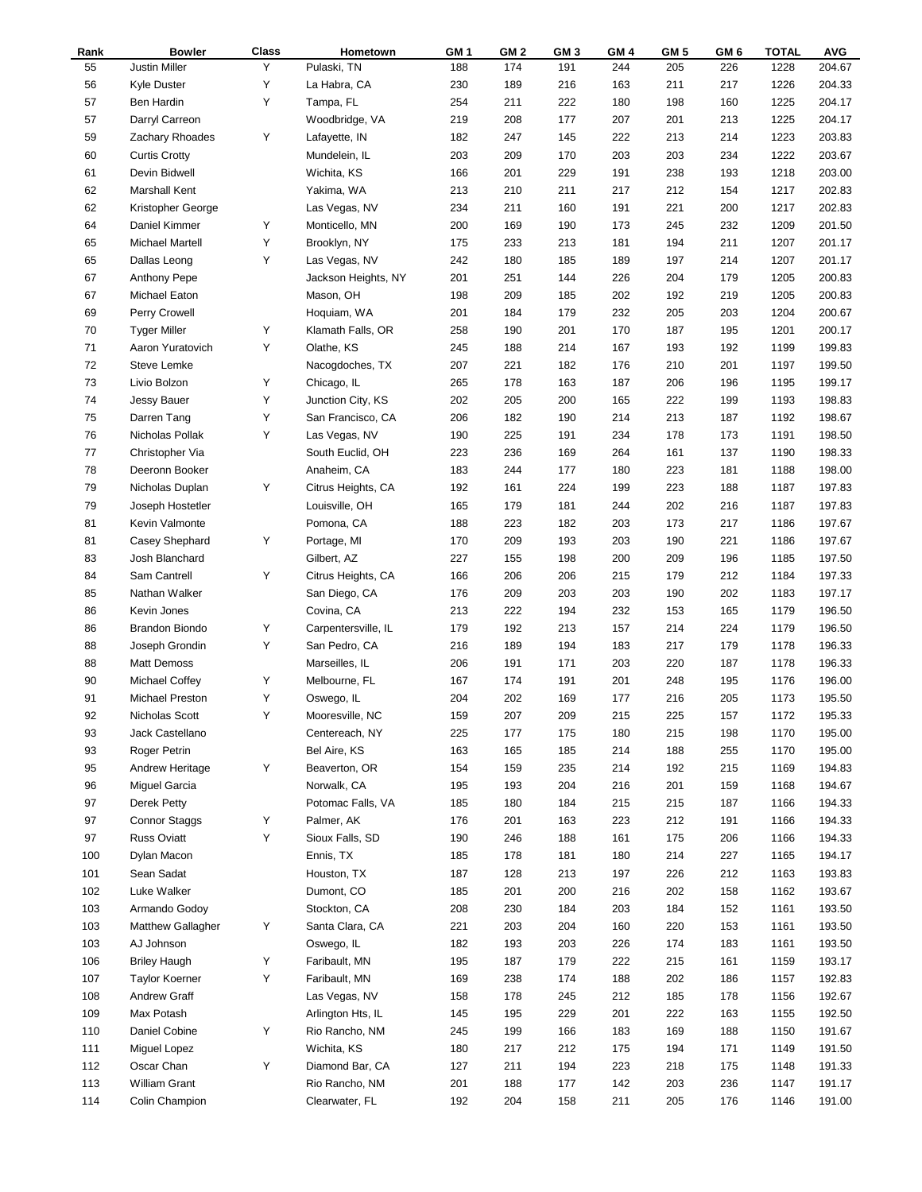| Rank | <b>Bowler</b>            | Class | Hometown            | GM <sub>1</sub> | GM <sub>2</sub> | GM <sub>3</sub> | GM 4 | GM 5 | GM <sub>6</sub> | <b>TOTAL</b> | <b>AVG</b> |
|------|--------------------------|-------|---------------------|-----------------|-----------------|-----------------|------|------|-----------------|--------------|------------|
| 55   | Justin Miller            | Υ     | Pulaski, TN         | 188             | 174             | 191             | 244  | 205  | 226             | 1228         | 204.67     |
| 56   | <b>Kyle Duster</b>       | Υ     | La Habra, CA        | 230             | 189             | 216             | 163  | 211  | 217             | 1226         | 204.33     |
| 57   | Ben Hardin               | Υ     | Tampa, FL           | 254             | 211             | 222             | 180  | 198  | 160             | 1225         | 204.17     |
| 57   | Darryl Carreon           |       | Woodbridge, VA      | 219             | 208             | 177             | 207  | 201  | 213             | 1225         | 204.17     |
| 59   | Zachary Rhoades          | Y     | Lafayette, IN       | 182             | 247             | 145             | 222  | 213  | 214             | 1223         | 203.83     |
| 60   | <b>Curtis Crotty</b>     |       | Mundelein, IL       | 203             | 209             | 170             | 203  | 203  | 234             | 1222         | 203.67     |
| 61   | Devin Bidwell            |       | Wichita, KS         | 166             | 201             | 229             | 191  | 238  | 193             | 1218         | 203.00     |
| 62   | Marshall Kent            |       | Yakima, WA          | 213             | 210             | 211             | 217  | 212  | 154             | 1217         | 202.83     |
| 62   | Kristopher George        |       | Las Vegas, NV       | 234             | 211             | 160             | 191  | 221  | 200             | 1217         | 202.83     |
| 64   | Daniel Kimmer            | Υ     | Monticello, MN      | 200             | 169             | 190             | 173  | 245  | 232             | 1209         | 201.50     |
| 65   | Michael Martell          | Υ     | Brooklyn, NY        | 175             | 233             | 213             | 181  | 194  | 211             | 1207         | 201.17     |
| 65   | Dallas Leong             | Υ     | Las Vegas, NV       | 242             | 180             | 185             | 189  | 197  | 214             | 1207         | 201.17     |
| 67   | <b>Anthony Pepe</b>      |       | Jackson Heights, NY | 201             | 251             | 144             | 226  | 204  | 179             | 1205         | 200.83     |
| 67   | Michael Eaton            |       | Mason, OH           | 198             | 209             | 185             | 202  | 192  | 219             | 1205         | 200.83     |
| 69   | Perry Crowell            |       | Hoquiam, WA         | 201             | 184             | 179             | 232  | 205  | 203             | 1204         | 200.67     |
| 70   | <b>Tyger Miller</b>      | Υ     | Klamath Falls, OR   | 258             | 190             | 201             | 170  | 187  | 195             | 1201         | 200.17     |
| 71   | Aaron Yuratovich         | Υ     | Olathe, KS          | 245             | 188             | 214             | 167  | 193  | 192             | 1199         | 199.83     |
| 72   | Steve Lemke              |       | Nacogdoches, TX     | 207             | 221             | 182             | 176  | 210  | 201             | 1197         | 199.50     |
| 73   | Livio Bolzon             | Υ     | Chicago, IL         | 265             | 178             | 163             | 187  | 206  | 196             | 1195         | 199.17     |
| 74   | Jessy Bauer              | Υ     | Junction City, KS   | 202             | 205             | 200             | 165  | 222  | 199             | 1193         | 198.83     |
| 75   | Darren Tang              | Υ     | San Francisco, CA   | 206             | 182             | 190             | 214  | 213  | 187             | 1192         | 198.67     |
| 76   | Nicholas Pollak          | Υ     | Las Vegas, NV       | 190             | 225             | 191             | 234  | 178  | 173             | 1191         | 198.50     |
| 77   | Christopher Via          |       | South Euclid, OH    | 223             | 236             | 169             | 264  | 161  | 137             | 1190         | 198.33     |
| 78   | Deeronn Booker           |       | Anaheim, CA         | 183             | 244             | 177             | 180  | 223  | 181             | 1188         | 198.00     |
| 79   | Nicholas Duplan          | Υ     | Citrus Heights, CA  | 192             | 161             | 224             | 199  | 223  | 188             | 1187         | 197.83     |
| 79   | Joseph Hostetler         |       | Louisville, OH      | 165             | 179             | 181             | 244  | 202  | 216             | 1187         | 197.83     |
| 81   | Kevin Valmonte           |       | Pomona, CA          | 188             | 223             | 182             | 203  | 173  | 217             | 1186         | 197.67     |
| 81   | Casey Shephard           | Υ     | Portage, MI         | 170             | 209             | 193             | 203  | 190  | 221             | 1186         | 197.67     |
| 83   | Josh Blanchard           |       | Gilbert, AZ         | 227             | 155             | 198             | 200  | 209  | 196             | 1185         | 197.50     |
| 84   | Sam Cantrell             | Υ     | Citrus Heights, CA  | 166             | 206             | 206             | 215  | 179  | 212             | 1184         | 197.33     |
| 85   | Nathan Walker            |       | San Diego, CA       | 176             | 209             | 203             | 203  | 190  | 202             | 1183         | 197.17     |
| 86   | Kevin Jones              |       | Covina, CA          | 213             | 222             | 194             | 232  | 153  | 165             | 1179         | 196.50     |
| 86   | Brandon Biondo           | Υ     | Carpentersville, IL | 179             | 192             | 213             | 157  | 214  | 224             | 1179         | 196.50     |
| 88   | Joseph Grondin           | Y     | San Pedro, CA       | 216             | 189             | 194             | 183  | 217  | 179             | 1178         | 196.33     |
| 88   | <b>Matt Demoss</b>       |       | Marseilles, IL      | 206             | 191             | 171             | 203  | 220  | 187             | 1178         | 196.33     |
| 90   | Michael Coffey           | Υ     | Melbourne, FL       | 167             | 174             | 191             | 201  | 248  | 195             | 1176         | 196.00     |
| 91   | Michael Preston          | Υ     | Oswego, IL          | 204             | 202             | 169             | 177  | 216  | 205             | 1173         | 195.50     |
| 92   | Nicholas Scott           | Y     | Mooresville, NC     | 159             | 207             | 209             | 215  | 225  | 157             | 1172         | 195.33     |
| 93   | Jack Castellano          |       | Centereach, NY      | 225             | 177             | 175             | 180  | 215  | 198             | 1170         | 195.00     |
| 93   | Roger Petrin             |       | Bel Aire, KS        | 163             | 165             | 185             | 214  | 188  | 255             | 1170         | 195.00     |
| 95   | Andrew Heritage          | Υ     | Beaverton, OR       | 154             | 159             | 235             | 214  | 192  | 215             | 1169         | 194.83     |
| 96   | Miguel Garcia            |       | Norwalk, CA         | 195             | 193             | 204             | 216  | 201  | 159             | 1168         | 194.67     |
| 97   | Derek Petty              |       | Potomac Falls, VA   | 185             | 180             | 184             | 215  | 215  | 187             | 1166         | 194.33     |
| 97   | <b>Connor Staggs</b>     | Υ     | Palmer, AK          | 176             | 201             | 163             | 223  | 212  | 191             | 1166         | 194.33     |
| 97   | <b>Russ Oviatt</b>       | Υ     | Sioux Falls, SD     | 190             | 246             | 188             | 161  | 175  | 206             | 1166         | 194.33     |
| 100  | Dylan Macon              |       | Ennis, TX           | 185             | 178             | 181             | 180  | 214  | 227             | 1165         | 194.17     |
| 101  | Sean Sadat               |       | Houston, TX         | 187             | 128             | 213             | 197  | 226  | 212             | 1163         | 193.83     |
| 102  | Luke Walker              |       | Dumont, CO          | 185             | 201             | 200             | 216  | 202  | 158             | 1162         | 193.67     |
| 103  | Armando Godoy            |       | Stockton, CA        | 208             | 230             | 184             | 203  | 184  | 152             | 1161         | 193.50     |
| 103  | <b>Matthew Gallagher</b> | Y     | Santa Clara, CA     | 221             | 203             | 204             | 160  | 220  | 153             | 1161         | 193.50     |
| 103  | AJ Johnson               |       | Oswego, IL          | 182             | 193             | 203             | 226  | 174  | 183             | 1161         | 193.50     |
| 106  | <b>Briley Haugh</b>      | Υ     | Faribault, MN       | 195             | 187             | 179             | 222  | 215  | 161             | 1159         | 193.17     |
| 107  | <b>Taylor Koerner</b>    | Υ     | Faribault, MN       | 169             | 238             | 174             | 188  | 202  | 186             | 1157         | 192.83     |
| 108  | Andrew Graff             |       | Las Vegas, NV       | 158             | 178             | 245             | 212  | 185  | 178             | 1156         | 192.67     |
| 109  | Max Potash               |       | Arlington Hts, IL   | 145             | 195             | 229             | 201  | 222  | 163             | 1155         | 192.50     |
| 110  | Daniel Cobine            | Y     | Rio Rancho, NM      | 245             | 199             | 166             | 183  | 169  | 188             | 1150         | 191.67     |
| 111  | Miguel Lopez             |       | Wichita, KS         | 180             | 217             | 212             | 175  | 194  | 171             | 1149         | 191.50     |
| 112  | Oscar Chan               | Y     | Diamond Bar, CA     | 127             | 211             | 194             | 223  | 218  | 175             | 1148         | 191.33     |
| 113  | <b>William Grant</b>     |       | Rio Rancho, NM      | 201             | 188             | 177             | 142  | 203  | 236             | 1147         | 191.17     |
| 114  | Colin Champion           |       | Clearwater, FL      | 192             | 204             | 158             | 211  | 205  | 176             | 1146         | 191.00     |
|      |                          |       |                     |                 |                 |                 |      |      |                 |              |            |